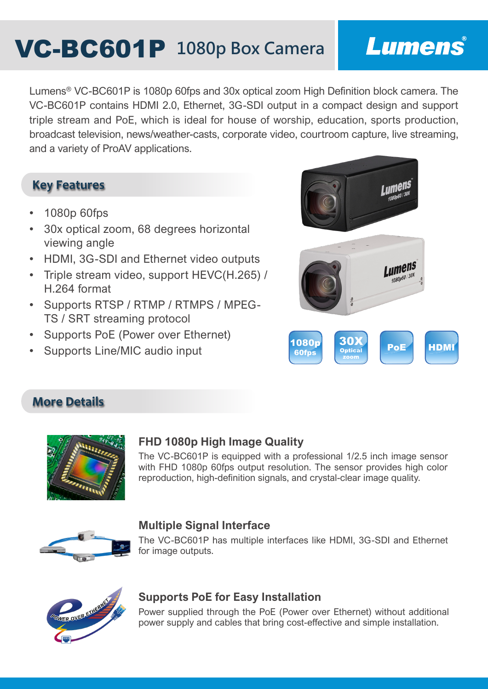# **VC-BC601P** 1080p Box Camera

## Lumens®

Lumens® VC-BC601P is 1080p 60fps and 30x optical zoom High Definition block camera. The VC-BC601P contains HDMI 2.0, Ethernet, 3G-SDI output in a compact design and support triple stream and PoE, which is ideal for house of worship, education, sports production, broadcast television, news/weather-casts, corporate video, courtroom capture, live streaming, and a variety of ProAV applications.

#### **Key Features**

- 1080p 60fps
- 30x optical zoom, 68 degrees horizontal viewing angle
- HDMI, 3G-SDI and Ethernet video outputs
- Triple stream video, support HEVC(H.265) / H.264 format
- Supports RTSP / RTMP / RTMPS / MPEG-TS / SRT streaming protocol
- Supports PoE (Power over Ethernet)
- Supports Line/MIC audio input



### **More Details**



#### **FHD 1080p High Image Quality**

The VC-BC601P is equipped with a professional 1/2.5 inch image sensor with FHD 1080p 60fps output resolution. The sensor provides high color reproduction, high-definition signals, and crystal-clear image quality.



#### **Multiple Signal Interface**

The VC-BC601P has multiple interfaces like HDMI, 3G-SDI and Ethernet for image outputs.



#### **Supports PoE for Easy Installation**

Power supplied through the PoE (Power over Ethernet) without additional power supply and cables that bring cost-effective and simple installation.